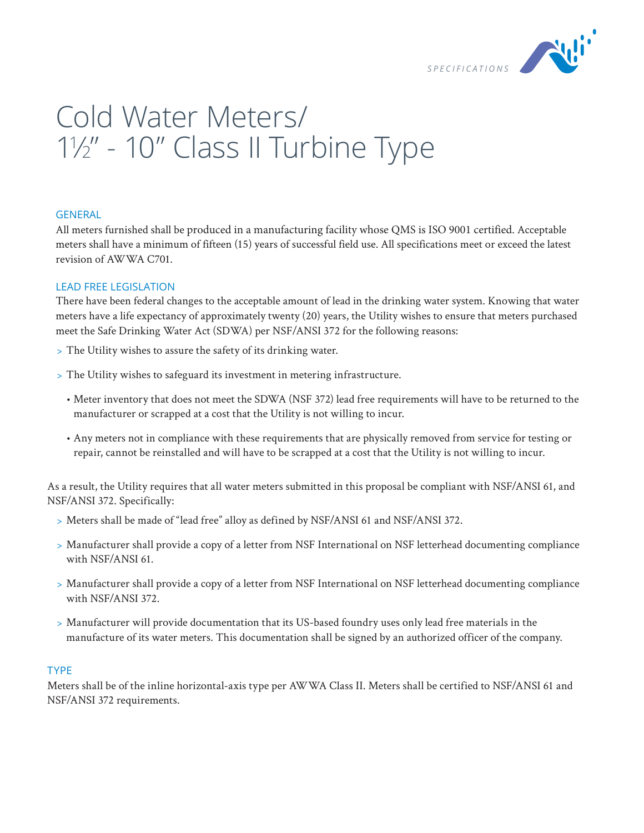

# Cold Water Meters/ 1 1 ⁄2" - 10" Class II Turbine Type

## **GENERAL**

All meters furnished shall be produced in a manufacturing facility whose QMS is ISO 9001 certified. Acceptable meters shall have a minimum of fifteen (15) years of successful field use. All specifications meet or exceed the latest revision of AWWA C701.

# LEAD FREE LEGISLATION

There have been federal changes to the acceptable amount of lead in the drinking water system. Knowing that water meters have a life expectancy of approximately twenty (20) years, the Utility wishes to ensure that meters purchased meet the Safe Drinking Water Act (SDWA) per NSF/ANSI 372 for the following reasons:

- > The Utility wishes to assure the safety of its drinking water.
- > The Utility wishes to safeguard its investment in metering infrastructure.
	- Meter inventory that does not meet the SDWA (NSF 372) lead free requirements will have to be returned to the manufacturer or scrapped at a cost that the Utility is not willing to incur.
	- Any meters not in compliance with these requirements that are physically removed from service for testing or repair, cannot be reinstalled and will have to be scrapped at a cost that the Utility is not willing to incur.

As a result, the Utility requires that all water meters submitted in this proposal be compliant with NSF/ANSI 61, and NSF/ANSI 372. Specifically:

- > Meters shall be made of "lead free" alloy as defined by NSF/ANSI 61 and NSF/ANSI 372.
- > Manufacturer shall provide a copy of a letter from NSF International on NSF letterhead documenting compliance with NSF/ANSI 61.
- > Manufacturer shall provide a copy of a letter from NSF International on NSF letterhead documenting compliance with NSF/ANSI 372.
- > Manufacturer will provide documentation that its US-based foundry uses only lead free materials in the manufacture of its water meters. This documentation shall be signed by an authorized officer of the company.

## TYPE

Meters shall be of the inline horizontal-axis type per AWWA Class II. Meters shall be certified to NSF/ANSI 61 and NSF/ANSI 372 requirements.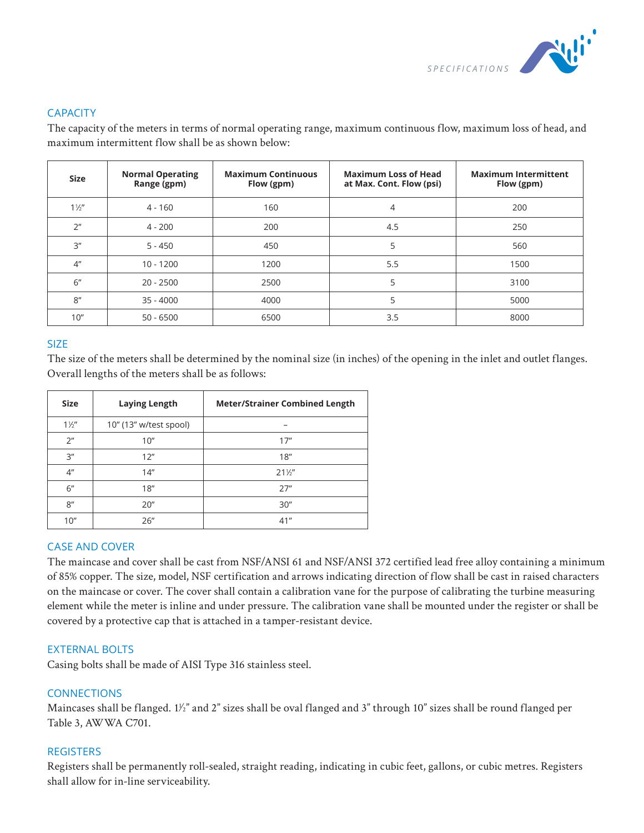

# **CAPACITY**

The capacity of the meters in terms of normal operating range, maximum continuous flow, maximum loss of head, and maximum intermittent flow shall be as shown below:

| <b>Size</b>     | <b>Normal Operating</b><br>Range (gpm) | <b>Maximum Continuous</b><br>Flow (gpm) | <b>Maximum Loss of Head</b><br>at Max. Cont. Flow (psi) | <b>Maximum Intermittent</b><br>Flow (gpm) |
|-----------------|----------------------------------------|-----------------------------------------|---------------------------------------------------------|-------------------------------------------|
| $1\frac{1}{2}$  | $4 - 160$                              | 160                                     | 4                                                       | 200                                       |
| 2 <sup>n</sup>  | $4 - 200$                              | 200                                     | 4.5                                                     | 250                                       |
| 3 <sup>''</sup> | $5 - 450$                              | 450                                     | 5                                                       | 560                                       |
| 4 <sup>''</sup> | $10 - 1200$                            | 1200                                    | 5.5                                                     | 1500                                      |
| 6"              | $20 - 2500$                            | 2500                                    | 5                                                       | 3100                                      |
| 8''             | $35 - 4000$                            | 4000                                    | 5                                                       | 5000                                      |
| 10''            | $50 - 6500$                            | 6500                                    | 3.5                                                     | 8000                                      |

# **SIZE**

The size of the meters shall be determined by the nominal size (in inches) of the opening in the inlet and outlet flanges. Overall lengths of the meters shall be as follows:

| <b>Size</b>     | <b>Laying Length</b>   | <b>Meter/Strainer Combined Length</b> |
|-----------------|------------------------|---------------------------------------|
| $1\frac{1}{2}$  | 10" (13" w/test spool) | -                                     |
| 2 <sup>n</sup>  | 10"                    | 17"                                   |
| 3''             | 12"                    | 18"                                   |
| 4 <sup>''</sup> | 14"                    | $21\frac{1}{2}$                       |
| 6"              | 18"                    | 27"                                   |
| 8"              | 20"                    | 30"                                   |
| 10''            | 26"                    | 41"                                   |

## CASE AND COVER

The maincase and cover shall be cast from NSF/ANSI 61 and NSF/ANSI 372 certified lead free alloy containing a minimum of 85% copper. The size, model, NSF certification and arrows indicating direction of flow shall be cast in raised characters on the maincase or cover. The cover shall contain a calibration vane for the purpose of calibrating the turbine measuring element while the meter is inline and under pressure. The calibration vane shall be mounted under the register or shall be covered by a protective cap that is attached in a tamper-resistant device.

## EXTERNAL BOLTS

Casing bolts shall be made of AISI Type 316 stainless steel.

## **CONNECTIONS**

Maincases shall be flanged. 11/2" and 2" sizes shall be oval flanged and 3" through 10" sizes shall be round flanged per Table 3, AWWA C701.

## **REGISTERS**

Registers shall be permanently roll-sealed, straight reading, indicating in cubic feet, gallons, or cubic metres. Registers shall allow for in-line serviceability.